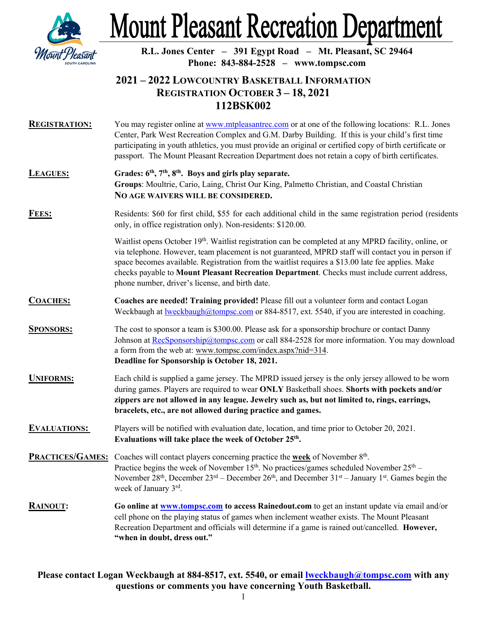

# **Mount Pleasant Recreation Department**

**R.L. Jones Center – 391 Egypt Road – Mt. Pleasant, SC 29464 Phone: 843-884-2528 – www.tompsc.com**

## **2021 – 2022 LOWCOUNTRY BASKETBALL INFORMATION REGISTRATION OCTOBER 3 – 18, 2021 112BSK002**

- **REGISTRATION:** You may register online a[t www.mtpleasantrec.com](http://www.mtpleasantrec.com/) or at one of the following locations: R.L. Jones Center, Park West Recreation Complex and G.M. Darby Building. If this is your child's first time participating in youth athletics, you must provide an original or certified copy of birth certificate or passport. The Mount Pleasant Recreation Department does not retain a copy of birth certificates.
- LEAGUES: Grades:  $6<sup>th</sup>$ ,  $7<sup>th</sup>$ ,  $8<sup>th</sup>$ . Boys and girls play separate. **Groups**: Moultrie, Cario, Laing, Christ Our King, Palmetto Christian, and Coastal Christian **NO AGE WAIVERS WILL BE CONSIDERED.**
- **FEES:** Residents: \$60 for first child, \$55 for each additional child in the same registration period (residents only, in office registration only). Non-residents: \$120.00.

Waitlist opens October 19<sup>th</sup>. Waitlist registration can be completed at any MPRD facility, online, or via telephone. However, team placement is not guaranteed, MPRD staff will contact you in person if space becomes available. Registration from the waitlist requires a \$13.00 late fee applies. Make checks payable to **Mount Pleasant Recreation Department**. Checks must include current address, phone number, driver's license, and birth date.

- **COACHES: Coaches are needed! Training provided!** Please fill out a volunteer form and contact Logan Weckbaugh at <u>lweckbaugh@tompsc.com</u> or 884-8517, ext. 5540, if you are interested in coaching.
- **SPONSORS:** The cost to sponsor a team is \$300.00. Please ask for a sponsorship brochure or contact Danny Johnson at [RecSponsorship@tompsc.com](mailto:RecSponsorship@tompsc.com) or call  $884-2528$  for more information. You may download a form from the web at: www.tompsc.com/index.aspx?nid=314. **Deadline for Sponsorship is October 18, 2021.**
- **UNIFORMS:** Each child is supplied a game jersey. The MPRD issued jersey is the only jersey allowed to be worn during games. Players are required to wear **ONLY** Basketball shoes. **Shorts with pockets and/or zippers are not allowed in any league. Jewelry such as, but not limited to, rings, earrings, bracelets, etc., are not allowed during practice and games.**
- **EVALUATIONS:** Players will be notified with evaluation date, location, and time prior to October 20, 2021. **Evaluations will take place the week of October 25th.**

**PRACTICES/GAMES:** Coaches will contact players concerning practice the **week** of November 8<sup>th</sup>. Practice begins the week of November  $15<sup>th</sup>$ . No practices/games scheduled November  $25<sup>th</sup>$  – November  $28<sup>th</sup>$ , December  $23<sup>rd</sup>$  – December  $26<sup>th</sup>$ , and December  $31<sup>st</sup>$  – January  $1<sup>st</sup>$ . Games begin the week of January 3rd.

**RAINOUT: Go online a[t www.tompsc.com](http://www.tompsc.com/)** to access Rainedout.com to get an instant update via email and/or cell phone on the playing status of games when inclement weather exists. The Mount Pleasant Recreation Department and officials will determine if a game is rained out/cancelled. **However, "when in doubt, dress out."**

### **Please contact Logan Weckbaugh at 884-8517, ext. 5540, or email [lweckbaugh@tompsc.com](mailto:lweckbaugh@tompsc.com) with any questions or comments you have concerning Youth Basketball.**